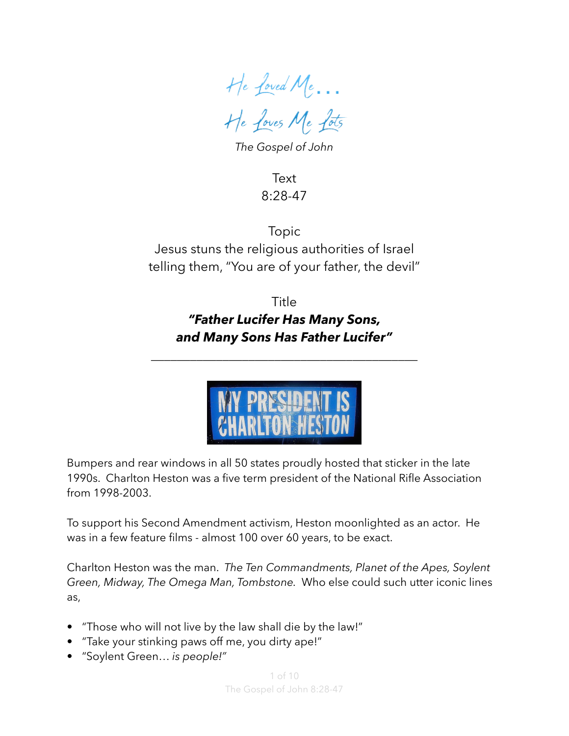He Loved Me… He Loves Me Lots

*The Gospel of John*

Text 8:28-47

Topic Jesus stuns the religious authorities of Israel telling them, "You are of your father, the devil"

> **Title** *"Father Lucifer Has Many Sons, and Many Sons Has Father Lucifer"*

\_\_\_\_\_\_\_\_\_\_\_\_\_\_\_\_\_\_\_\_\_\_\_\_\_\_\_\_\_\_\_\_\_\_\_\_\_\_\_\_\_



Bumpers and rear windows in all 50 states proudly hosted that sticker in the late 1990s. Charlton Heston was a five term president of the National Rifle Association from 1998-2003.

To support his Second Amendment activism, Heston moonlighted as an actor. He was in a few feature films - almost 100 over 60 years, to be exact.

Charlton Heston was the man. *The Ten Commandments, Planet of the Apes, Soylent Green, Midway, The Omega Man, Tombstone.* Who else could such utter iconic lines as,

- "Those who will not live by the law shall die by the law!"
- "Take your stinking paws off me, you dirty ape!"
- "Soylent Green… *is people!"*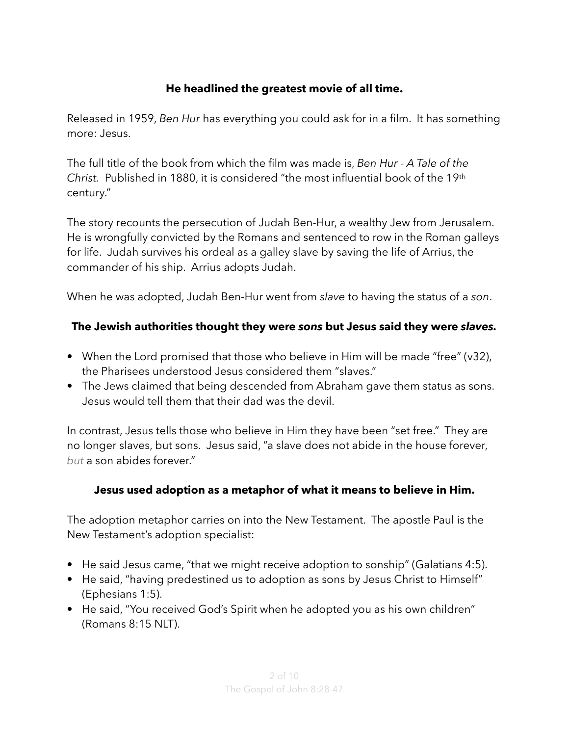## **He headlined the greatest movie of all time.**

Released in 1959, *Ben Hur* has everything you could ask for in a film. It has something more: Jesus.

The full title of the book from which the film was made is, *Ben Hur - A Tale of the Christ.* Published in 1880, it is considered "the most influential book of the 19th century."

The story recounts the persecution of [Judah Ben-Hur,](https://en.wikipedia.org/wiki/Judah_Ben-Hur) a wealthy Jew from Jerusalem. He is wrongfully convicted by the Romans and sentenced to row in the Roman galleys for life. Judah survives his ordeal as a galley slave by saving the life of Arrius, the commander of his ship. Arrius adopts Judah.

When he was adopted, Judah Ben-Hur went from *slave* to having the status of a *son*.

#### **The Jewish authorities thought they were** *sons* **but Jesus said they were** *slaves.*

- When the Lord promised that those who believe in Him will be made "free" (v32), the Pharisees understood Jesus considered them "slaves."
- The Jews claimed that being descended from Abraham gave them status as sons. Jesus would tell them that their dad was the devil.

In contrast, Jesus tells those who believe in Him they have been "set free." They are no longer slaves, but sons. Jesus said, "a slave does not abide in the house forever, *but* a son abides forever."

#### **Jesus used adoption as a metaphor of what it means to believe in Him.**

The adoption metaphor carries on into the New Testament. The apostle Paul is the New Testament's adoption specialist:

- He said Jesus came, "that we might receive adoption to sonship" (Galatians 4:5).
- He said, "having predestined us to adoption as sons by Jesus Christ to Himself" (Ephesians 1:5).
- He said, "You received God's Spirit when he adopted you as his own children" (Romans 8:15 NLT).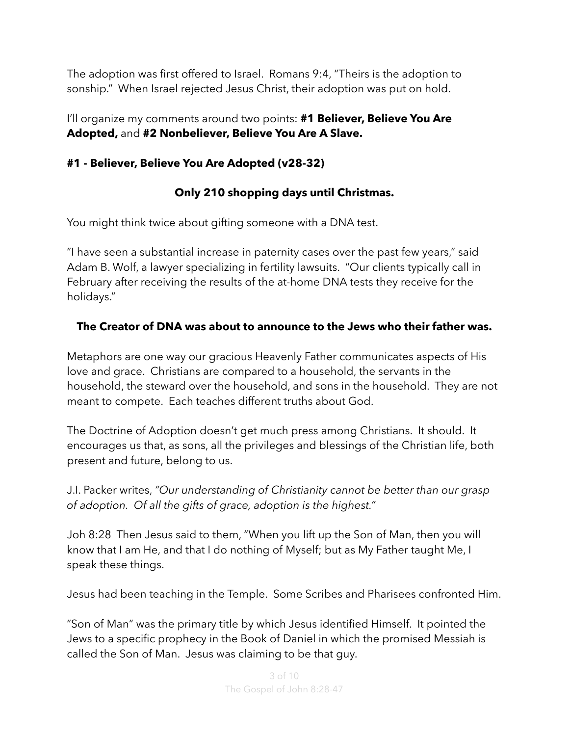The adoption was first offered to Israel. Romans 9:4, "Theirs is the adoption to sonship." When Israel rejected Jesus Christ, their adoption was put on hold.

I'll organize my comments around two points: **#1 Believer, Believe You Are Adopted,** and **#2 Nonbeliever, Believe You Are A Slave.**

## **#1 - Believer, Believe You Are Adopted (v28-32)**

# **Only 210 shopping days until Christmas.**

You might think twice about gifting someone with a DNA test.

"I have seen a substantial increase in paternity cases over the past few years," said Adam B. Wolf, a lawyer specializing in fertility lawsuits. "Our clients typically call in February after receiving the results of the at-home DNA tests they receive for the holidays."

# **The Creator of DNA was about to announce to the Jews who their father was.**

Metaphors are one way our gracious Heavenly Father communicates aspects of His love and grace. Christians are compared to a household, the servants in the household, the steward over the household, and sons in the household. They are not meant to compete. Each teaches different truths about God.

The Doctrine of Adoption doesn't get much press among Christians. It should. It encourages us that, as sons, all the privileges and blessings of the Christian life, both present and future, belong to us.

J.I. Packer writes, *"Our understanding of Christianity cannot be better than our grasp of adoption. Of all the gifts of grace, adoption is the highest."*

Joh 8:28 Then Jesus said to them, "When you lift up the Son of Man, then you will know that I am He, and that I do nothing of Myself; but as My Father taught Me, I speak these things.

Jesus had been teaching in the Temple. Some Scribes and Pharisees confronted Him.

"Son of Man" was the primary title by which Jesus identified Himself. It pointed the Jews to a specific prophecy in the Book of Daniel in which the promised Messiah is called the Son of Man. Jesus was claiming to be that guy.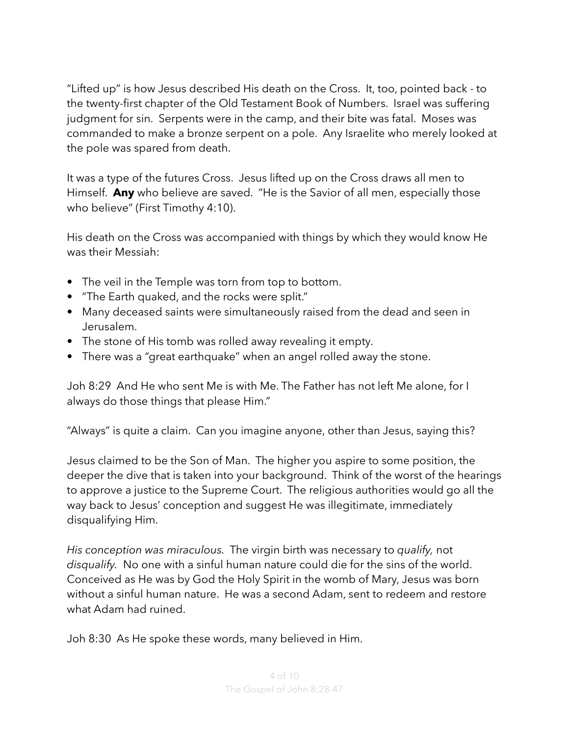"Lifted up" is how Jesus described His death on the Cross. It, too, pointed back - to the twenty-first chapter of the Old Testament Book of Numbers. Israel was suffering judgment for sin. Serpents were in the camp, and their bite was fatal. Moses was commanded to make a bronze serpent on a pole. Any Israelite who merely looked at the pole was spared from death.

It was a type of the futures Cross. Jesus lifted up on the Cross draws all men to Himself. **Any** who believe are saved. "He is the Savior of all men, especially those who believe" (First Timothy 4:10).

His death on the Cross was accompanied with things by which they would know He was their Messiah:

- The veil in the Temple was torn from top to bottom.
- "The Earth quaked, and the rocks were split."
- Many deceased saints were simultaneously raised from the dead and seen in Jerusalem.
- The stone of His tomb was rolled away revealing it empty.
- There was a "great earthquake" when an angel rolled away the stone.

Joh 8:29 And He who sent Me is with Me. The Father has not left Me alone, for I always do those things that please Him."

"Always" is quite a claim. Can you imagine anyone, other than Jesus, saying this?

Jesus claimed to be the Son of Man. The higher you aspire to some position, the deeper the dive that is taken into your background. Think of the worst of the hearings to approve a justice to the Supreme Court. The religious authorities would go all the way back to Jesus' conception and suggest He was illegitimate, immediately disqualifying Him.

*His conception was miraculous.* The virgin birth was necessary to *qualify,* not *disqualify.* No one with a sinful human nature could die for the sins of the world. Conceived as He was by God the Holy Spirit in the womb of Mary, Jesus was born without a sinful human nature. He was a second Adam, sent to redeem and restore what Adam had ruined.

Joh 8:30 As He spoke these words, many believed in Him.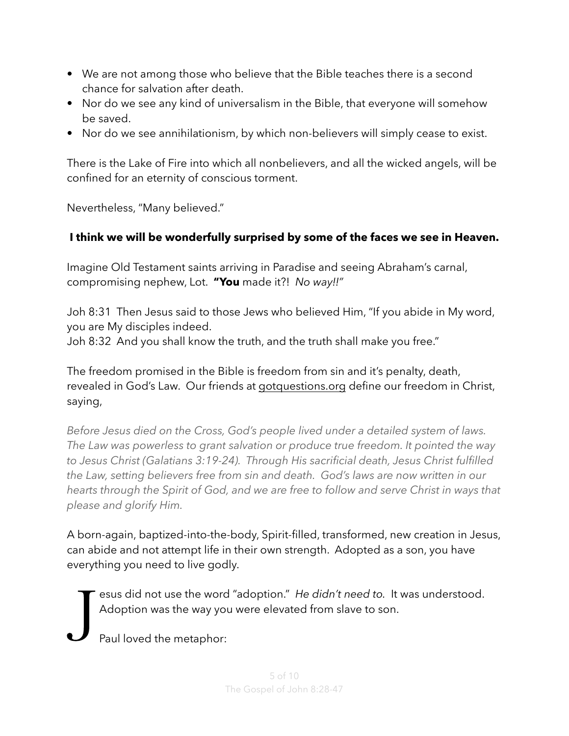- We are not among those who believe that the Bible teaches there is a second chance for salvation after death.
- Nor do we see any kind of universalism in the Bible, that everyone will somehow be saved.
- Nor do we see annihilationism, by which non-believers will simply cease to exist.

There is the Lake of Fire into which all nonbelievers, and all the wicked angels, will be confined for an eternity of conscious torment.

Nevertheless, "Many believed."

## **I think we will be wonderfully surprised by some of the faces we see in Heaven.**

Imagine Old Testament saints arriving in Paradise and seeing Abraham's carnal, compromising nephew, Lot. **"You** made it?! *No way!!"*

Joh 8:31 Then Jesus said to those Jews who believed Him, "If you abide in My word, you are My disciples indeed.

Joh 8:32 And you shall know the truth, and the truth shall make you free."

The freedom promised in the Bible is freedom from sin and it's penalty, death, revealed in God's Law. Our friends at [gotquestions.org](http://gotquestions.org) define our freedom in Christ, saying,

*Before Jesus died on the Cross, God's people lived under a detailed system of laws. The Law was powerless to grant salvation or produce true freedom. It pointed the way to Jesus Christ (Galatians 3:19-24). Through His sacrificial death, Jesus Christ fulfilled the Law, setting believers free from sin and death. God's laws are now written in our hearts through the Spirit of God, and we are free to follow and serve Christ in ways that please and glorify Him.*

A born-again, baptized-into-the-body, Spirit-filled, transformed, new creation in Jesus, can abide and not attempt life in their own strength. Adopted as a son, you have everything you need to live godly.

esus did not use the word "adoption." *He didn't need to.* It was understood. Adoption was the way you were elevated from slave to son.

J Paul loved the metaphor: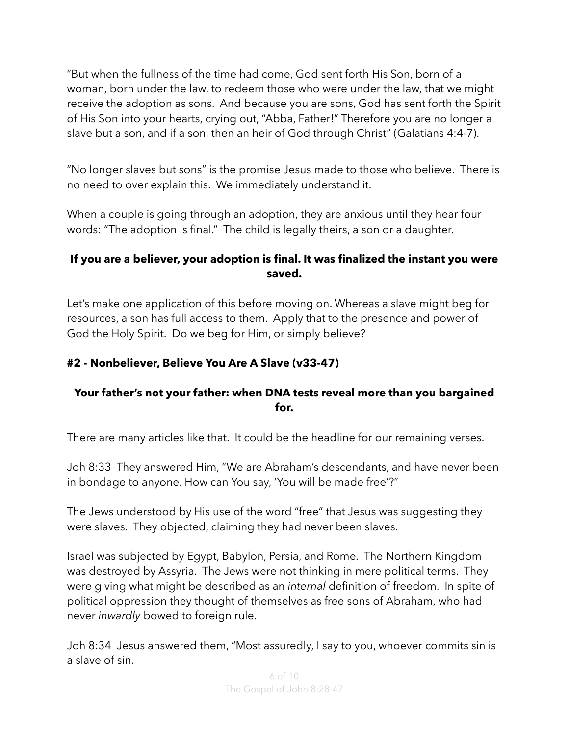"But when the fullness of the time had come, God sent forth His Son, born of a woman, born under the law, to redeem those who were under the law, that we might receive the adoption as sons. And because you are sons, God has sent forth the Spirit of His Son into your hearts, crying out, "Abba, Father!" Therefore you are no longer a slave but a son, and if a son, then an heir of God through Christ" (Galatians 4:4-7).

"No longer slaves but sons" is the promise Jesus made to those who believe. There is no need to over explain this. We immediately understand it.

When a couple is going through an adoption, they are anxious until they hear four words: "The adoption is final." The child is legally theirs, a son or a daughter.

### **If you are a believer, your adoption is final. It was finalized the instant you were saved.**

Let's make one application of this before moving on. Whereas a slave might beg for resources, a son has full access to them. Apply that to the presence and power of God the Holy Spirit. Do we beg for Him, or simply believe?

### **#2 - Nonbeliever, Believe You Are A Slave (v33-47)**

### **Your father's not your father: when DNA tests reveal more than you bargained for.**

There are many articles like that. It could be the headline for our remaining verses.

Joh 8:33 They answered Him, "We are Abraham's descendants, and have never been in bondage to anyone. How can You say, 'You will be made free'?"

The Jews understood by His use of the word "free" that Jesus was suggesting they were slaves. They objected, claiming they had never been slaves.

Israel was subjected by Egypt, Babylon, Persia, and Rome. The Northern Kingdom was destroyed by Assyria. The Jews were not thinking in mere political terms. They were giving what might be described as an *internal* definition of freedom. In spite of political oppression they thought of themselves as free sons of Abraham, who had never *inwardly* bowed to foreign rule.

Joh 8:34 Jesus answered them, "Most assuredly, I say to you, whoever commits sin is a slave of sin.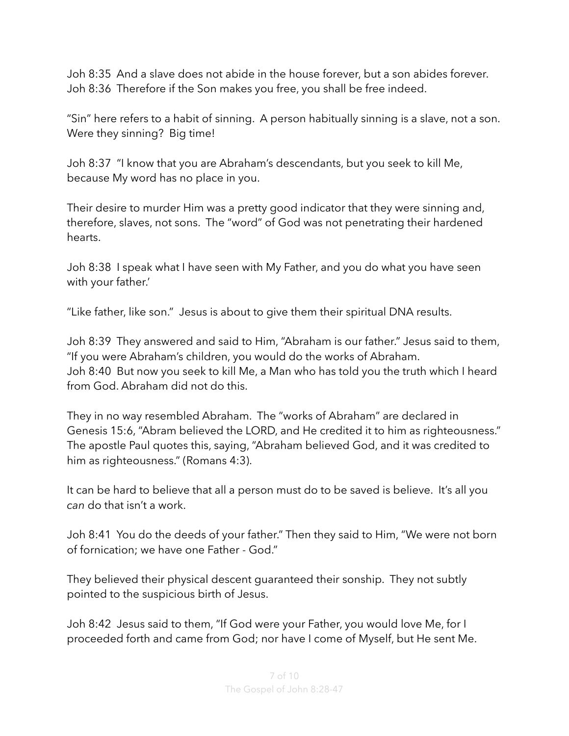Joh 8:35 And a slave does not abide in the house forever, but a son abides forever. Joh 8:36 Therefore if the Son makes you free, you shall be free indeed.

"Sin" here refers to a habit of sinning. A person habitually sinning is a slave, not a son. Were they sinning? Big time!

Joh 8:37 "I know that you are Abraham's descendants, but you seek to kill Me, because My word has no place in you.

Their desire to murder Him was a pretty good indicator that they were sinning and, therefore, slaves, not sons. The "word" of God was not penetrating their hardened hearts.

Joh 8:38 I speak what I have seen with My Father, and you do what you have seen with your father.'

"Like father, like son." Jesus is about to give them their spiritual DNA results.

Joh 8:39 They answered and said to Him, "Abraham is our father." Jesus said to them, "If you were Abraham's children, you would do the works of Abraham. Joh 8:40 But now you seek to kill Me, a Man who has told you the truth which I heard from God. Abraham did not do this.

They in no way resembled Abraham. The "works of Abraham" are declared in Genesis 15:6, "Abram believed the LORD, and He credited it to him as righteousness." The apostle Paul quotes this, saying, "Abraham believed God, and it was credited to him as righteousness." (Romans 4:3).

It can be hard to believe that all a person must do to be saved is believe. It's all you *can* do that isn't a work.

Joh 8:41 You do the deeds of your father." Then they said to Him, "We were not born of fornication; we have one Father - God."

They believed their physical descent guaranteed their sonship. They not subtly pointed to the suspicious birth of Jesus.

Joh 8:42 Jesus said to them, "If God were your Father, you would love Me, for I proceeded forth and came from God; nor have I come of Myself, but He sent Me.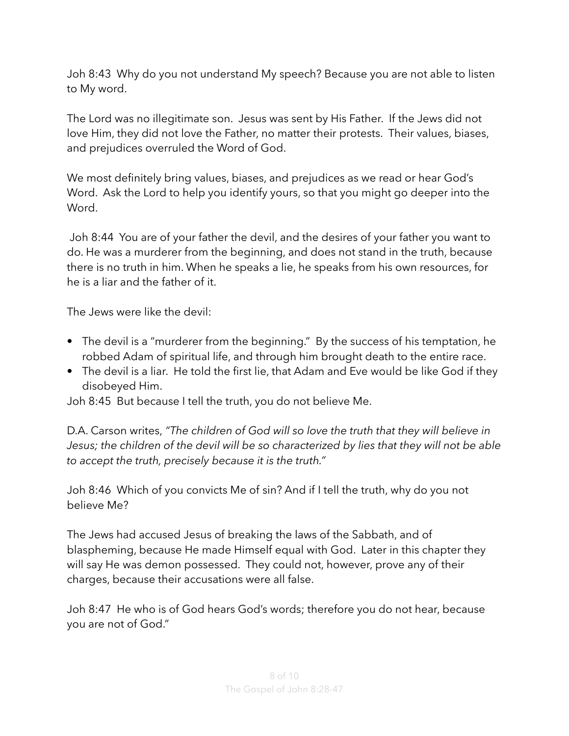Joh 8:43 Why do you not understand My speech? Because you are not able to listen to My word.

The Lord was no illegitimate son. Jesus was sent by His Father. If the Jews did not love Him, they did not love the Father, no matter their protests. Their values, biases, and prejudices overruled the Word of God.

We most definitely bring values, biases, and prejudices as we read or hear God's Word. Ask the Lord to help you identify yours, so that you might go deeper into the Word.

 Joh 8:44 You are of your father the devil, and the desires of your father you want to do. He was a murderer from the beginning, and does not stand in the truth, because there is no truth in him. When he speaks a lie, he speaks from his own resources, for he is a liar and the father of it.

The Jews were like the devil:

- The devil is a "murderer from the beginning." By the success of his temptation, he robbed Adam of spiritual life, and through him brought death to the entire race.
- The devil is a liar. He told the first lie, that Adam and Eve would be like God if they disobeyed Him.

Joh 8:45 But because I tell the truth, you do not believe Me.

D.A. Carson writes, *"The children of God will so love the truth that they will believe in Jesus; the children of the devil will be so characterized by lies that they will not be able to accept the truth, precisely because it is the truth."*

Joh 8:46 Which of you convicts Me of sin? And if I tell the truth, why do you not believe Me?

The Jews had accused Jesus of breaking the laws of the Sabbath, and of blaspheming, because He made Himself equal with God. Later in this chapter they will say He was demon possessed. They could not, however, prove any of their charges, because their accusations were all false.

Joh 8:47 He who is of God hears God's words; therefore you do not hear, because you are not of God."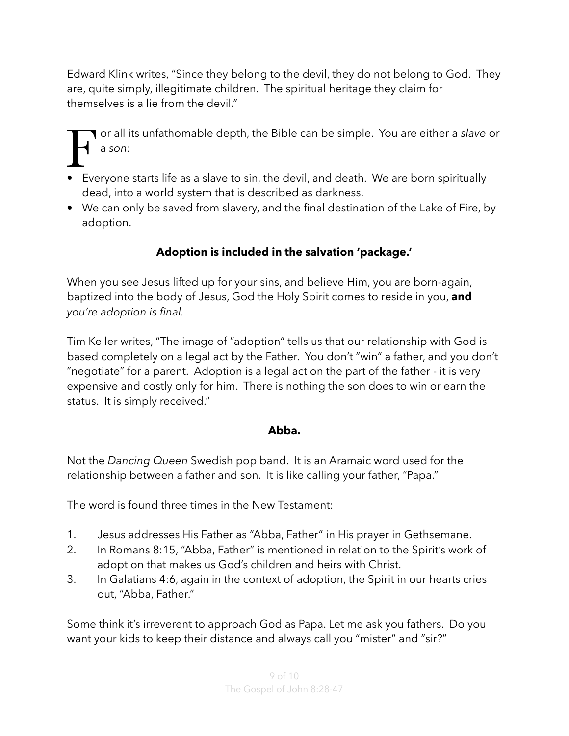Edward Klink writes, "Since they belong to the devil, they do not belong to God. They are, quite simply, illegitimate children. The spiritual heritage they claim for themselves is a lie from the devil."

F or all its unfathomable depth, the Bible can be simple. You are either a *slave* or a *son:*

- Everyone starts life as a slave to sin, the devil, and death. We are born spiritually dead, into a world system that is described as darkness.
- We can only be saved from slavery, and the final destination of the Lake of Fire, by adoption.

# **Adoption is included in the salvation 'package.'**

When you see Jesus lifted up for your sins, and believe Him, you are born-again, baptized into the body of Jesus, God the Holy Spirit comes to reside in you, **and** *you're adoption is final.* 

Tim Keller writes, "The image of "adoption" tells us that our relationship with God is based completely on a legal act by the Father. You don't "win" a father, and you don't "negotiate" for a parent. Adoption is a legal act on the part of the father - it is very expensive and costly only for him. There is nothing the son does to win or earn the status. It is simply received."

#### **Abba.**

Not the *Dancing Queen* Swedish pop band. It is an Aramaic word used for the relationship between a father and son. It is like calling your father, "Papa."

The word is found three times in the New Testament:

- 1. Jesus addresses His Father as "Abba, Father" in His prayer in Gethsemane.
- 2. In [Romans 8:15,](https://biblia.com/bible/esv/Rom%208.15) "Abba, Father" is mentioned in relation to the Spirit's work of adoption that makes us God's children and heirs with Christ.
- 3. In [Galatians 4:6,](https://biblia.com/bible/esv/Gal%204.6) again in the context of adoption, the Spirit in our hearts cries out, "Abba, Father."

Some think it's irreverent to approach God as Papa. Let me ask you fathers. Do you want your kids to keep their distance and always call you "mister" and "sir?"